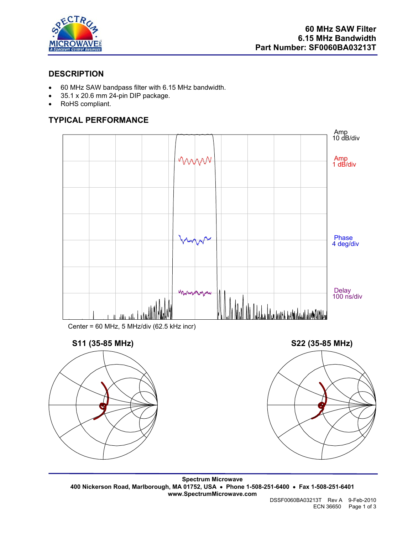

## **DESCRIPTION**

- 60 MHz SAW bandpass filter with 6.15 MHz bandwidth.
- 35.1 x 20.6 mm 24-pin DIP package.
- RoHS compliant.

# **TYPICAL PERFORMANCE**



Center = 60 MHz, 5 MHz/div (62.5 kHz incr)







**Spectrum Microwave 400 Nickerson Road, Marlborough, MA 01752, USA** • **Phone 1-508-251-6400** • **Fax 1-508-251-6401 www.SpectrumMicrowave.com**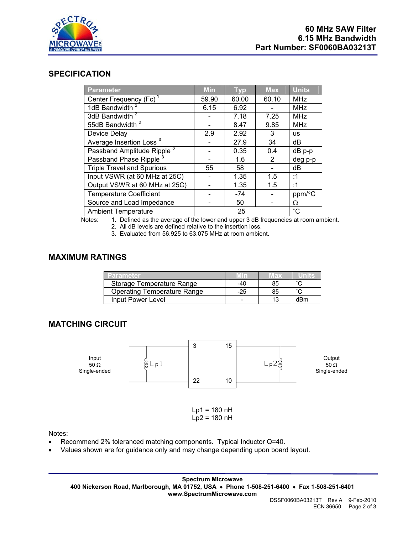

### **SPECIFICATION**

| <b>Parameter</b>                       | <b>Min</b> | <b>Typ</b> | <b>Max</b> | <b>Units</b> |
|----------------------------------------|------------|------------|------------|--------------|
| Center Frequency (Fc) <sup>1</sup>     | 59.90      | 60.00      | 60.10      | <b>MHz</b>   |
| 1dB Bandwidth <sup>2</sup>             | 6.15       | 6.92       |            | <b>MHz</b>   |
| 3dB Bandwidth <sup>2</sup>             |            | 7.18       | 7.25       | <b>MHz</b>   |
| 55dB Bandwidth <sup>2</sup>            |            | 8.47       | 9.85       | <b>MHz</b>   |
| Device Delay                           | 2.9        | 2.92       | 3          | <b>us</b>    |
| Average Insertion Loss <sup>3</sup>    |            | 27.9       | 34         | dB           |
| Passband Amplitude Ripple <sup>3</sup> |            | 0.35       | 0.4        | dB p-p       |
| Passband Phase Ripple <sup>3</sup>     |            | 1.6        | 2          | deg p-p      |
| <b>Triple Travel and Spurious</b>      | 55         | 58         |            | dB           |
| Input VSWR (at 60 MHz at 25C)          |            | 1.35       | 1.5        | :1           |
| Output VSWR at 60 MHz at 25C)          |            | 1.35       | 1.5        | :1           |
| <b>Temperature Coefficient</b>         |            | $-74$      |            | ppm/°C       |
| Source and Load Impedance              |            | 50         |            | Ω            |
| <b>Ambient Temperature</b>             |            | 25         |            | $^{\circ}$ C |

Notes: 1. Defined as the average of the lower and upper 3 dB frequencies at room ambient.

2. All dB levels are defined relative to the insertion loss.

3. Evaluated from 56.925 to 63.075 MHz at room ambient.

#### **MAXIMUM RATINGS**

| Parameter                          |     | $V$ ax |                     |
|------------------------------------|-----|--------|---------------------|
| Storage Temperature Range          | -40 | 85     |                     |
| <b>Operating Temperature Range</b> | -25 | 85     | $\hat{\phantom{a}}$ |
| Input Power Level                  |     |        | dRm                 |

## **MATCHING CIRCUIT**



Notes:

- Recommend 2% toleranced matching components. Typical Inductor Q=40.
- Values shown are for guidance only and may change depending upon board layout.

**Spectrum Microwave 400 Nickerson Road, Marlborough, MA 01752, USA** • **Phone 1-508-251-6400** • **Fax 1-508-251-6401 www.SpectrumMicrowave.com**